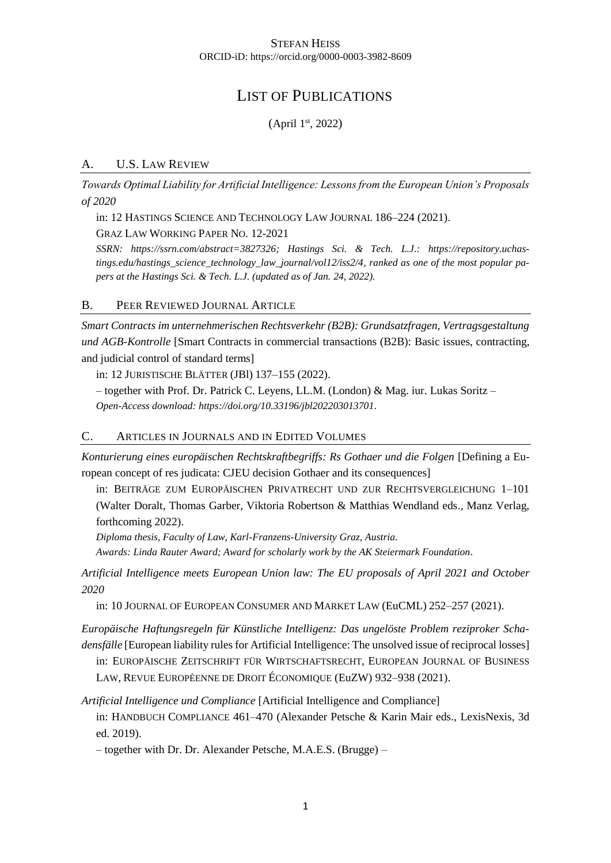#### STEFAN HEISS ORCID-iD:<https://orcid.org/0000-0003-3982-8609>

# LIST OF PUBLICATIONS

(April 1 st, 2022)

### A. U.S. LAW REVIEW

*Towards Optimal Liability for Artificial Intelligence: Lessons from the European Union's Proposals of 2020*

in: 12 HASTINGS SCIENCE AND TECHNOLOGY LAW JOURNAL 186–224 (2021).

GRAZ LAW WORKING PAPER NO. 12-2021

*SSRN: [https://ssrn.com/abstract=3827326;](https://ssrn.com/abstract=3827326) Hastings Sci. & Tech. L.J.: [https://repository.uchas](https://repository.uchastings.edu/hastings_science_technology_law_journal/vol12/iss2/4)[tings.edu/hastings\\_science\\_technology\\_law\\_journal/vol12/iss2/4,](https://repository.uchastings.edu/hastings_science_technology_law_journal/vol12/iss2/4) ranked as one of the most popular papers at the Hastings Sci. & Tech. L.J. (updated as of Jan. 24, 2022).*

### B. PEER REVIEWED JOURNAL ARTICLE

*Smart Contracts im unternehmerischen Rechtsverkehr (B2B): Grundsatzfragen, Vertragsgestaltung und AGB-Kontrolle* [Smart Contracts in commercial transactions (B2B): Basic issues, contracting, and judicial control of standard terms]

in: 12 JURISTISCHE BLÄTTER (JBl) 137–155 (2022).

– together with Prof. Dr. Patrick C. Leyens, LL.M. (London) & Mag. iur. Lukas Soritz – *Open-Access download[: https://doi.org/10.33196/jbl202203013701.](https://doi.org/10.33196/jbl202203013701)*

#### C. ARTICLES IN JOURNALS AND IN EDITED VOLUMES

*Konturierung eines europäischen Rechtskraftbegriffs: Rs Gothaer und die Folgen* [Defining a European concept of res judicata: CJEU decision Gothaer and its consequences]

in: BEITRÄGE ZUM EUROPÄISCHEN PRIVATRECHT UND ZUR RECHTSVERGLEICHUNG 1–101 (Walter Doralt, Thomas Garber, Viktoria Robertson & Matthias Wendland eds., Manz Verlag, forthcoming 2022).

*Diploma thesis, Faculty of Law, Karl-Franzens-University Graz, Austria. Awards: Linda Rauter Award; Award for scholarly work by the AK Steiermark Foundation.*

*Artificial Intelligence meets European Union law: The EU proposals of April 2021 and October 2020*

in: 10 JOURNAL OF EUROPEAN CONSUMER AND MARKET LAW (EuCML) 252–257 (2021).

*Europäische Haftungsregeln für Künstliche Intelligenz: Das ungelöste Problem reziproker Schadensfälle* [European liability rules for Artificial Intelligence: The unsolved issue of reciprocal losses]

in: EUROPÄISCHE ZEITSCHRIFT FÜR WIRTSCHAFTSRECHT, EUROPEAN JOURNAL OF BUSINESS

LAW, REVUE EUROPÉENNE DE DROIT ÉCONOMIQUE (EuZW) 932–938 (2021).

*Artificial Intelligence und Compliance* [Artificial Intelligence and Compliance]

in: HANDBUCH COMPLIANCE 461–470 (Alexander Petsche & Karin Mair eds., LexisNexis, 3d ed. 2019).

– together with Dr. Dr. Alexander Petsche, M.A.E.S. (Brugge) –